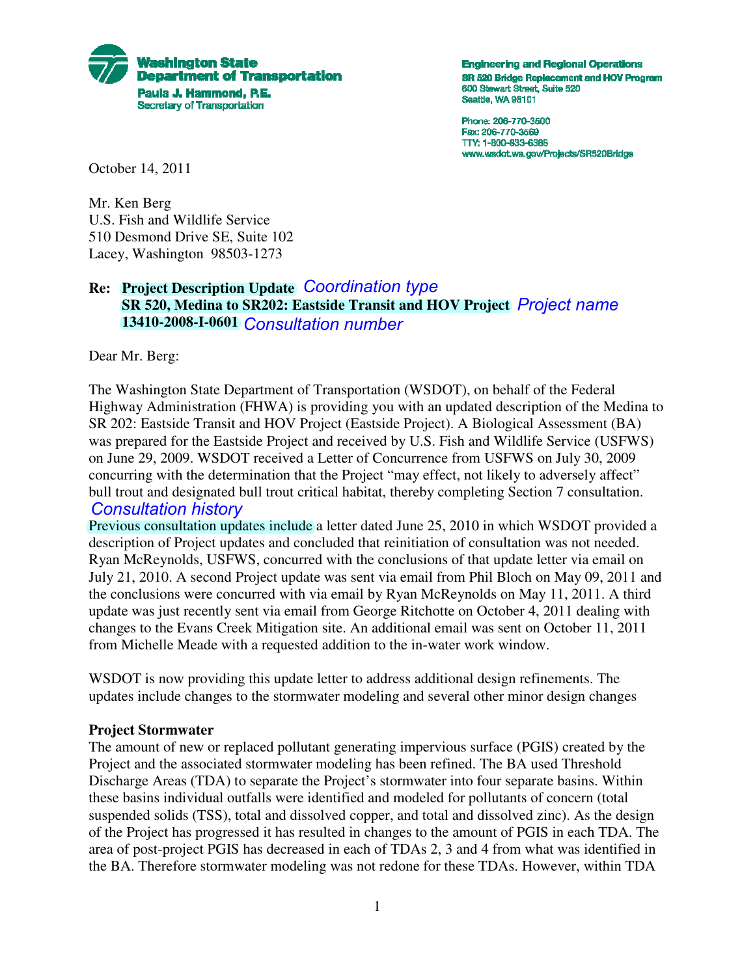

**Engineering and Regional Operations** SR 520 Bridge Replacement and HOV Program 600 Stewart Street, Suite 520 Seattle, WA 98101

Phone: 206-770-3500 Fax: 206-770-3569 TTY: 1-800-833-6388 www.wsdot.wa.gov/Projects/SR520Bridge

October 14, 2011

Mr. Ken Berg U.S. Fish and Wildlife Service 510 Desmond Drive SE, Suite 102 Lacey, Washington 98503-1273

## **Re: Project Description Update** *Coordination type* **SR 520, Medina to SR202: Eastside Transit and HOV Project** *Project name* **13410-2008-I-0601** *Consultation number*

Dear Mr. Berg:

The Washington State Department of Transportation (WSDOT), on behalf of the Federal Highway Administration (FHWA) is providing you with an updated description of the Medina to SR 202: Eastside Transit and HOV Project (Eastside Project). A Biological Assessment (BA) was prepared for the Eastside Project and received by U.S. Fish and Wildlife Service (USFWS) on June 29, 2009. WSDOT received a Letter of Concurrence from USFWS on July 30, 2009 concurring with the determination that the Project "may effect, not likely to adversely affect" bull trout and designated bull trout critical habitat, thereby completing Section 7 consultation.

### *Consultation history*

Previous consultation updates include a letter dated June 25, 2010 in which WSDOT provided a description of Project updates and concluded that reinitiation of consultation was not needed. Ryan McReynolds, USFWS, concurred with the conclusions of that update letter via email on July 21, 2010. A second Project update was sent via email from Phil Bloch on May 09, 2011 and the conclusions were concurred with via email by Ryan McReynolds on May 11, 2011. A third update was just recently sent via email from George Ritchotte on October 4, 2011 dealing with changes to the Evans Creek Mitigation site. An additional email was sent on October 11, 2011 from Michelle Meade with a requested addition to the in-water work window.

WSDOT is now providing this update letter to address additional design refinements. The updates include changes to the stormwater modeling and several other minor design changes

### **Project Stormwater**

The amount of new or replaced pollutant generating impervious surface (PGIS) created by the Project and the associated stormwater modeling has been refined. The BA used Threshold Discharge Areas (TDA) to separate the Project's stormwater into four separate basins. Within these basins individual outfalls were identified and modeled for pollutants of concern (total suspended solids (TSS), total and dissolved copper, and total and dissolved zinc). As the design of the Project has progressed it has resulted in changes to the amount of PGIS in each TDA. The area of post-project PGIS has decreased in each of TDAs 2, 3 and 4 from what was identified in the BA. Therefore stormwater modeling was not redone for these TDAs. However, within TDA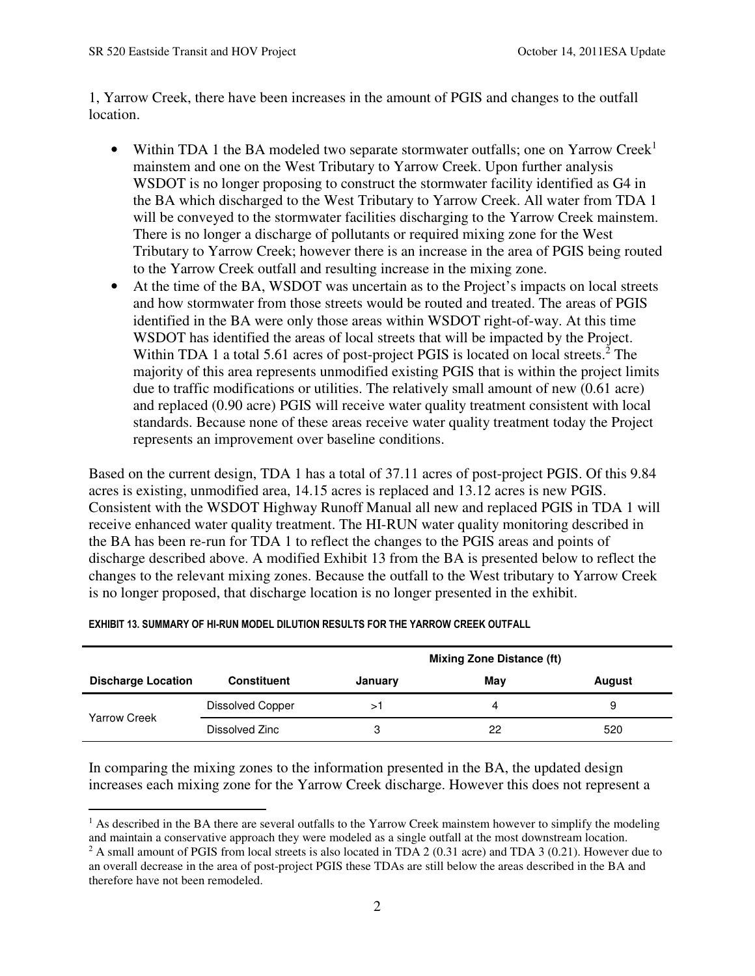1, Yarrow Creek, there have been increases in the amount of PGIS and changes to the outfall location.

- Within TDA 1 the BA modeled two separate stormwater outfalls; one on Yarrow Creek<sup>1</sup> mainstem and one on the West Tributary to Yarrow Creek. Upon further analysis WSDOT is no longer proposing to construct the stormwater facility identified as G4 in the BA which discharged to the West Tributary to Yarrow Creek. All water from TDA 1 will be conveyed to the stormwater facilities discharging to the Yarrow Creek mainstem. There is no longer a discharge of pollutants or required mixing zone for the West Tributary to Yarrow Creek; however there is an increase in the area of PGIS being routed to the Yarrow Creek outfall and resulting increase in the mixing zone.
- At the time of the BA, WSDOT was uncertain as to the Project's impacts on local streets and how stormwater from those streets would be routed and treated. The areas of PGIS identified in the BA were only those areas within WSDOT right-of-way. At this time WSDOT has identified the areas of local streets that will be impacted by the Project. Within TDA 1 a total 5.61 acres of post-project PGIS is located on local streets.<sup>2</sup> The majority of this area represents unmodified existing PGIS that is within the project limits due to traffic modifications or utilities. The relatively small amount of new (0.61 acre) and replaced (0.90 acre) PGIS will receive water quality treatment consistent with local standards. Because none of these areas receive water quality treatment today the Project represents an improvement over baseline conditions.

 is no longer proposed, that discharge location is no longer presented in the exhibit. Based on the current design, TDA 1 has a total of 37.11 acres of post-project PGIS. Of this 9.84 acres is existing, unmodified area, 14.15 acres is replaced and 13.12 acres is new PGIS. Consistent with the WSDOT Highway Runoff Manual all new and replaced PGIS in TDA 1 will receive enhanced water quality treatment. The HI-RUN water quality monitoring described in the BA has been re-run for TDA 1 to reflect the changes to the PGIS areas and points of discharge described above. A modified Exhibit 13 from the BA is presented below to reflect the changes to the relevant mixing zones. Because the outfall to the West tributary to Yarrow Creek

|                           |                         | <b>Mixing Zone Distance (ft)</b> |     |        |
|---------------------------|-------------------------|----------------------------------|-----|--------|
| <b>Discharge Location</b> | <b>Constituent</b>      | January                          | May | August |
| Yarrow Creek              | <b>Dissolved Copper</b> |                                  | 4   | 9      |
|                           | Dissolved Zinc          |                                  | 22  | 520    |

#### **EXHIBIT 13. SUMMARY OF HI-RUN MODEL DILUTION RESULTS FOR THE YARROW CREEK OUTFALL**

 In comparing the mixing zones to the information presented in the BA, the updated design increases each mixing zone for the Yarrow Creek discharge. However this does not represent a

 $<sup>1</sup>$  As described in the BA there are several outfalls to the Yarrow Creek mainstem however to simplify the modeling</sup> and maintain a conservative approach they were modeled as a single outfall at the most downstream location.  $2$  A small amount of PGIS from local streets is also located in TDA 2 (0.31 acre) and TDA 3 (0.21). However due to

 an overall decrease in the area of post-project PGIS these TDAs are still below the areas described in the BA and therefore have not been remodeled.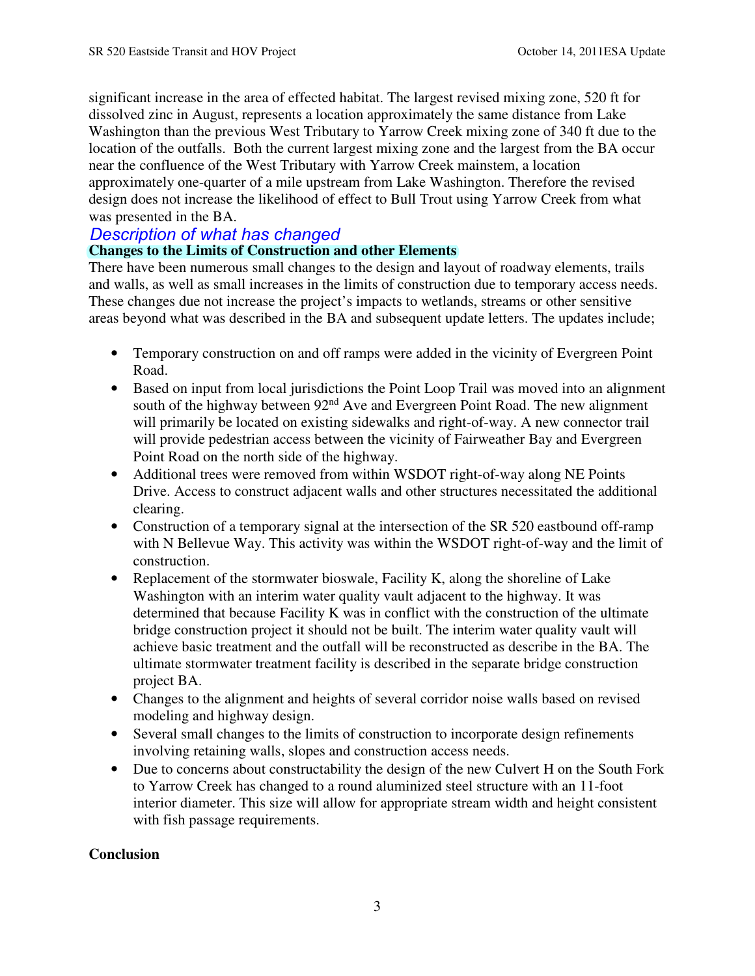dissolved zinc in August, represents a location approximately the same distance from Lake significant increase in the area of effected habitat. The largest revised mixing zone, 520 ft for Washington than the previous West Tributary to Yarrow Creek mixing zone of 340 ft due to the location of the outfalls. Both the current largest mixing zone and the largest from the BA occur near the confluence of the West Tributary with Yarrow Creek mainstem, a location approximately one-quarter of a mile upstream from Lake Washington. Therefore the revised design does not increase the likelihood of effect to Bull Trout using Yarrow Creek from what was presented in the BA.

# *Description of what has changed*

# **Changes to the Limits of Construction and other Elements**

There have been numerous small changes to the design and layout of roadway elements, trails and walls, as well as small increases in the limits of construction due to temporary access needs. These changes due not increase the project's impacts to wetlands, streams or other sensitive areas beyond what was described in the BA and subsequent update letters. The updates include;

- Temporary construction on and off ramps were added in the vicinity of Evergreen Point Road.
- will provide pedestrian access between the vicinity of Fairweather Bay and Evergreen • Based on input from local jurisdictions the Point Loop Trail was moved into an alignment south of the highway between  $92<sup>nd</sup>$  Ave and Evergreen Point Road. The new alignment will primarily be located on existing sidewalks and right-of-way. A new connector trail Point Road on the north side of the highway.
- Additional trees were removed from within WSDOT right-of-way along NE Points Drive. Access to construct adjacent walls and other structures necessitated the additional clearing.
- Construction of a temporary signal at the intersection of the SR 520 eastbound off-ramp with N Bellevue Way. This activity was within the WSDOT right-of-way and the limit of construction.
- • Replacement of the stormwater bioswale, Facility K, along the shoreline of Lake Washington with an interim water quality vault adjacent to the highway. It was determined that because Facility K was in conflict with the construction of the ultimate bridge construction project it should not be built. The interim water quality vault will achieve basic treatment and the outfall will be reconstructed as describe in the BA. The ultimate stormwater treatment facility is described in the separate bridge construction project BA.
- Changes to the alignment and heights of several corridor noise walls based on revised modeling and highway design.
- Several small changes to the limits of construction to incorporate design refinements involving retaining walls, slopes and construction access needs.
- Due to concerns about constructability the design of the new Culvert H on the South Fork to Yarrow Creek has changed to a round aluminized steel structure with an 11-foot interior diameter. This size will allow for appropriate stream width and height consistent with fish passage requirements.

# **Conclusion**